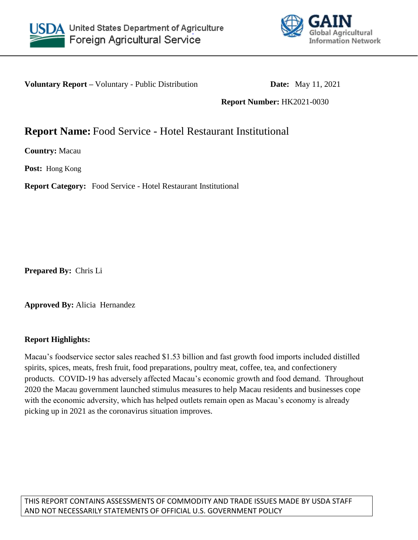



**Voluntary Report** – Voluntary - Public Distribution **Date:** May 11, 2021

**Report Number:** HK2021-0030

# **Report Name:** Food Service - Hotel Restaurant Institutional

**Country:** Macau

**Post:** Hong Kong

**Report Category:** Food Service - Hotel Restaurant Institutional

**Prepared By:** Chris Li

**Approved By:** Alicia Hernandez

# **Report Highlights:**

Macau's foodservice sector sales reached \$1.53 billion and fast growth food imports included distilled spirits, spices, meats, fresh fruit, food preparations, poultry meat, coffee, tea, and confectionery products. COVID-19 has adversely affected Macau's economic growth and food demand. Throughout 2020 the Macau government launched stimulus measures to help Macau residents and businesses cope with the economic adversity, which has helped outlets remain open as Macau's economy is already picking up in 2021 as the coronavirus situation improves.

THIS REPORT CONTAINS ASSESSMENTS OF COMMODITY AND TRADE ISSUES MADE BY USDA STAFF AND NOT NECESSARILY STATEMENTS OF OFFICIAL U.S. GOVERNMENT POLICY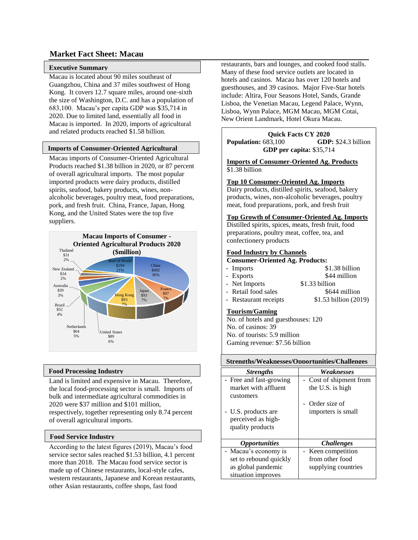### **Market Fact Sheet: Macau**

### **Executive Summary**

Macau is located about 90 miles southeast of Guangzhou, China and 37 miles southwest of Hong Kong. It covers 12.7 square miles, around one-sixth the size of Washington, D.C. and has a population of 683,100. Macau's per capita GDP was \$35,714 in 2020. Due to limited land, essentially all food in Macau is imported. In 2020, imports of agricultural and related products reached \$1.58 billion.

#### **Imports of Consumer-Oriented Agricultural**

**Macau imports of Consumer-Oriented Agricultural** Products reached \$1.38 billion in 2020, or 87 percent of overall agricultural imports. The most popular imported products were dairy products, distilled spirits, seafood, bakery products, wines, nonalcoholic beverages, poultry meat, food preparations, pork, and fresh fruit. China, France, Japan, Hong Kong, and the United States were the top five suppliers.



#### **Food Processing Industry**

Land is limited and expensive in Macau. Therefore, the local food-processing sector is small. Imports of bulk and intermediate agricultural commodities in 2020 were \$37 million and \$101 million, respectively, together representing only 8.74 percent of overall agricultural imports.

#### **Food Service Industry**

According to the latest figures (2019), Macau's food service sector sales reached \$1.53 billion, 4.1 percent more than 2018. The Macau food service sector is made up of Chinese restaurants, local-style cafes, western restaurants, Japanese and Korean restaurants, other Asian restaurants, coffee shops, fast food

restaurants, bars and lounges, and cooked food stalls. Many of these food service outlets are located in hotels and casinos. Macau has over 120 hotels and guesthouses, and 39 casinos. Major Five-Star hotels include: Altira, Four Seasons Hotel, Sands, Grande Lisboa, the Venetian Macau, Legend Palace, Wynn, Lisboa, Wynn Palace, MGM Macau, MGM Cotai, New Orient Landmark, Hotel Okura Macau.

**Quick Facts CY 2020 Population:** 683,100 **GDP:** \$24.3 billion **GDP per capita:** \$35,714

**Imports of Consumer-Oriented Ag. Products** \$1.38 billion

#### **Top 10 Consumer-Oriented Ag. Imports**

Dairy products, distilled spirits, seafood, bakery products, wines, non-alcoholic beverages, poultry meat, food preparations, pork, and fresh fruit

### **Top Growth of Consumer-Oriented Ag. Imports**

Distilled spirits, spices, meats, fresh fruit, food preparations, poultry meat, coffee, tea, and confectionery products

#### **Food Industry by Channels**

**Consumer-Oriented Ag. Products:**

- Imports \$1.38 billion
	-
- Exports \$44 million
- Net Imports \$1.33 billion
- Retail food sales \$644 million
- Restaurant receipts  $$1.53$  billion (2019)

### **Tourism/Gaming**

No. of hotels and guesthouses: 120 No. of casinos: 39 No. of tourists: 5.9 million Gaming revenue: \$7.56 billion

### **Strengths/Weaknesses/Opportunities/Challenges**

| <b>Strengths</b>        | Weaknesses               |
|-------------------------|--------------------------|
| - Free and fast-growing | - Cost of shipment from  |
| market with affluent    | the U.S. is high         |
| customers               |                          |
|                         | - Order size of          |
| - U.S. products are     | importers is small       |
| perceived as high-      |                          |
| quality products        |                          |
|                         |                          |
| <b>Opportunities</b>    | <i><b>Challenges</b></i> |
| - Macau's economy is    | - Keen competition       |
| set to rebound quickly  | from other food          |
| as global pandemic      | supplying countries      |
| situation improves      |                          |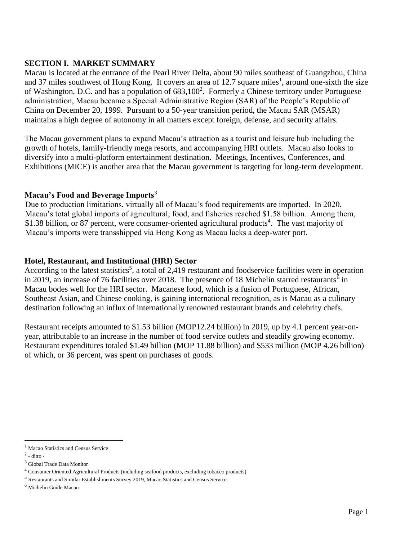# **SECTION I. MARKET SUMMARY**

Macau is located at the entrance of the Pearl River Delta, about 90 miles southeast of Guangzhou, China and 37 miles southwest of Hong Kong. It covers an area of 12.7 square miles<sup>1</sup>, around one-sixth the size of Washington, D.C. and has a population of  $683,100^2$ . Formerly a Chinese territory under Portuguese administration, Macau became a Special Administrative Region (SAR) of the People's Republic of China on December 20, 1999. Pursuant to a 50-year transition period, the Macau SAR (MSAR) maintains a high degree of autonomy in all matters except foreign, defense, and security affairs.

The Macau government plans to expand Macau's attraction as a tourist and leisure hub including the growth of hotels, family-friendly mega resorts, and accompanying HRI outlets. Macau also looks to diversify into a multi-platform entertainment destination. Meetings, Incentives, Conferences, and Exhibitions (MICE) is another area that the Macau government is targeting for long-term development.

# **Macau's Food and Beverage Imports**<sup>3</sup>

Due to production limitations, virtually all of Macau's food requirements are imported. In 2020, Macau's total global imports of agricultural, food, and fisheries reached \$1.58 billion. Among them, \$1.38 billion, or 87 percent, were consumer-oriented agricultural products<sup>4</sup>. The vast majority of Macau's imports were transshipped via Hong Kong as Macau lacks a deep-water port.

# **Hotel, Restaurant, and Institutional (HRI) Sector**

According to the latest statistics<sup>5</sup>, a total of 2,419 restaurant and foodservice facilities were in operation in 2019, an increase of 76 facilities over 2018. The presence of 18 Michelin starred restaurants<sup>6</sup> in Macau bodes well for the HRI sector. Macanese food, which is a fusion of Portuguese, African, Southeast Asian, and Chinese cooking, is gaining international recognition, as is Macau as a culinary destination following an influx of internationally renowned restaurant brands and celebrity chefs.

Restaurant receipts amounted to \$1.53 billion (MOP12.24 billion) in 2019, up by 4.1 percent year-onyear, attributable to an increase in the number of food service outlets and steadily growing economy. Restaurant expenditures totaled \$1.49 billion (MOP 11.88 billion) and \$533 million (MOP 4.26 billion) of which, or 36 percent, was spent on purchases of goods.

 $\overline{\phantom{a}}$ 

<sup>&</sup>lt;sup>1</sup> Macao Statistics and Census Service

 $2$  - ditto -

<sup>3</sup> Global Trade Data Monitor

<sup>4</sup> Consumer Oriented Agricultural Products (including seafood products, excluding tobacco products)

<sup>5</sup> Restaurants and Similar Establishments Survey 2019, Macao Statistics and Census Service

<sup>6</sup> Michelin Guide Macau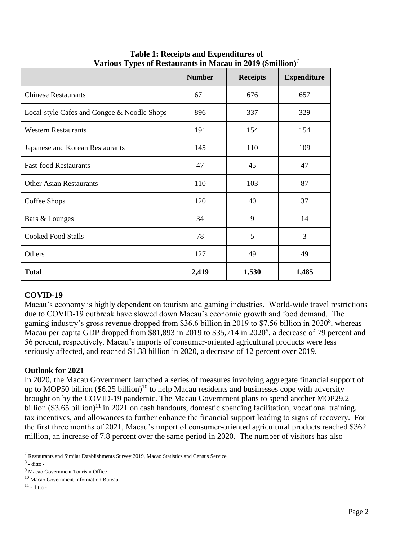|                                             | <b>Number</b> | <b>Receipts</b> | <b>Expenditure</b> |
|---------------------------------------------|---------------|-----------------|--------------------|
| <b>Chinese Restaurants</b>                  | 671           | 676             | 657                |
| Local-style Cafes and Congee & Noodle Shops | 896           | 337             | 329                |
| <b>Western Restaurants</b>                  | 191           | 154             | 154                |
| Japanese and Korean Restaurants             | 145           | 110             | 109                |
| <b>Fast-food Restaurants</b>                | 47            | 45              | 47                 |
| <b>Other Asian Restaurants</b>              | 110           | 103             | 87                 |
| Coffee Shops                                | 120           | 40              | 37                 |
| Bars & Lounges                              | 34            | 9               | 14                 |
| <b>Cooked Food Stalls</b>                   | 78            | 5               | 3                  |
| Others                                      | 127           | 49              | 49                 |
| <b>Total</b>                                | 2,419         | 1,530           | 1,485              |

**Table 1: Receipts and Expenditures of Various Types of Restaurants in Macau in 2019 (\$million)**<sup>7</sup>

# **COVID-19**

Macau's economy is highly dependent on tourism and gaming industries. World-wide travel restrictions due to COVID-19 outbreak have slowed down Macau's economic growth and food demand. The gaming industry's gross revenue dropped from \$36.6 billion in 2019 to \$7.56 billion in 2020<sup>8</sup>, whereas Macau per capita GDP dropped from \$81,893 in 2019 to \$35,714 in 2020<sup>9</sup>, a decrease of 79 percent and 56 percent, respectively. Macau's imports of consumer-oriented agricultural products were less seriously affected, and reached \$1.38 billion in 2020, a decrease of 12 percent over 2019.

# **Outlook for 2021**

In 2020, the Macau Government launched a series of measures involving aggregate financial support of up to MOP50 billion  $(\$6.25$  billion)<sup>10</sup> to help Macau residents and businesses cope with adversity brought on by the COVID-19 pandemic. The Macau Government plans to spend another MOP29.2 billion  $(\$3.65 \text{ billion})^{11}$  in 2021 on cash handouts, domestic spending facilitation, vocational training, tax incentives, and allowances to further enhance the financial support leading to signs of recovery. For the first three months of 2021, Macau's import of consumer-oriented agricultural products reached \$362 million, an increase of 7.8 percent over the same period in 2020. The number of visitors has also

l

<sup>7</sup> Restaurants and Similar Establishments Survey 2019, Macao Statistics and Census Service

 $<sup>8</sup>$  - ditto -</sup>

<sup>9</sup> Macao Government Tourism Office

<sup>10</sup> Macao Government Information Bureau

 $11$  - ditto -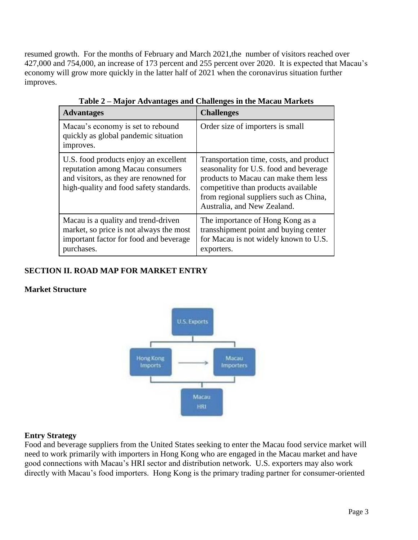resumed growth. For the months of February and March 2021, the number of visitors reached over 427,000 and 754,000, an increase of 173 percent and 255 percent over 2020. It is expected that Macau's economy will grow more quickly in the latter half of 2021 when the coronavirus situation further improves.

| <b>Advantages</b>                                                                                                                                              | <b>Challenges</b>                                                                                                                                                                                                                         |
|----------------------------------------------------------------------------------------------------------------------------------------------------------------|-------------------------------------------------------------------------------------------------------------------------------------------------------------------------------------------------------------------------------------------|
| Macau's economy is set to rebound<br>quickly as global pandemic situation<br>improves.                                                                         | Order size of importers is small                                                                                                                                                                                                          |
| U.S. food products enjoy an excellent<br>reputation among Macau consumers<br>and visitors, as they are renowned for<br>high-quality and food safety standards. | Transportation time, costs, and product<br>seasonality for U.S. food and beverage<br>products to Macau can make them less<br>competitive than products available<br>from regional suppliers such as China,<br>Australia, and New Zealand. |
| Macau is a quality and trend-driven<br>market, so price is not always the most<br>important factor for food and beverage<br>purchases.                         | The importance of Hong Kong as a<br>transshipment point and buying center<br>for Macau is not widely known to U.S.<br>exporters.                                                                                                          |

**Table 2 – Major Advantages and Challenges in the Macau Markets**

# **SECTION II. ROAD MAP FOR MARKET ENTRY**

# **Market Structure**



# **Entry Strategy**

Food and beverage suppliers from the United States seeking to enter the Macau food service market will need to work primarily with importers in Hong Kong who are engaged in the Macau market and have good connections with Macau's HRI sector and distribution network. U.S. exporters may also work directly with Macau's food importers. Hong Kong is the primary trading partner for consumer-oriented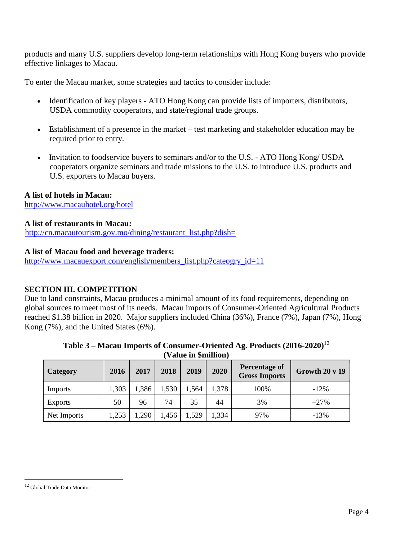products and many U.S. suppliers develop long-term relationships with Hong Kong buyers who provide effective linkages to Macau.

To enter the Macau market, some strategies and tactics to consider include:

- Identification of key players ATO Hong Kong can provide lists of importers, distributors, USDA commodity cooperators, and state/regional trade groups.
- Establishment of a presence in the market test marketing and stakeholder education may be required prior to entry.
- Invitation to foodservice buyers to seminars and/or to the U.S. ATO Hong Kong/ USDA cooperators organize seminars and trade missions to the U.S. to introduce U.S. products and U.S. exporters to Macau buyers.

# **A list of hotels in Macau:**

<http://www.macauhotel.org/hotel>

# **A list of restaurants in Macau:**

[http://cn.macautourism.gov.mo/dining/restaurant\\_list.php?dish=](http://cn.macautourism.gov.mo/dining/restaurant_list.php?dish=)

# **A list of Macau food and beverage traders:**

[http://www.macauexport.com/english/members\\_list.php?cateogry\\_id=11](http://www.macauexport.com/english/members_list.php?cateogry_id=11)

# **SECTION III. COMPETITION**

Due to land constraints, Macau produces a minimal amount of its food requirements, depending on global sources to meet most of its needs. Macau imports of Consumer-Oriented Agricultural Products reached \$1.38 billion in 2020. Major suppliers included China (36%), France (7%), Japan (7%), Hong Kong (7%), and the United States (6%).

| Value in Smillion) |       |      |       |       |       |                                              |                |  |
|--------------------|-------|------|-------|-------|-------|----------------------------------------------|----------------|--|
| <b>Category</b>    | 2016  | 2017 | 2018  | 2019  | 2020  | <b>Percentage of</b><br><b>Gross Imports</b> | Growth 20 v 19 |  |
| Imports            | 1,303 | ,386 | 1,530 | 1,564 | 1,378 | 100%                                         | $-12\%$        |  |
| Exports            | 50    | 96   | 74    | 35    | 44    | 3%                                           | $+27%$         |  |
| Net Imports        | 1,253 | ,290 | 1,456 | 1,529 | 1,334 | 97%                                          | $-13%$         |  |

| Table 3 – Macau Imports of Consumer-Oriented Ag. Products $(2016\textrm{-}2020)^{12}$ |            |  |  |  |  |
|---------------------------------------------------------------------------------------|------------|--|--|--|--|
|                                                                                       | $\sqrt{2}$ |  |  |  |  |

 $\overline{\phantom{a}}$ 

<sup>12</sup> Global Trade Data Monitor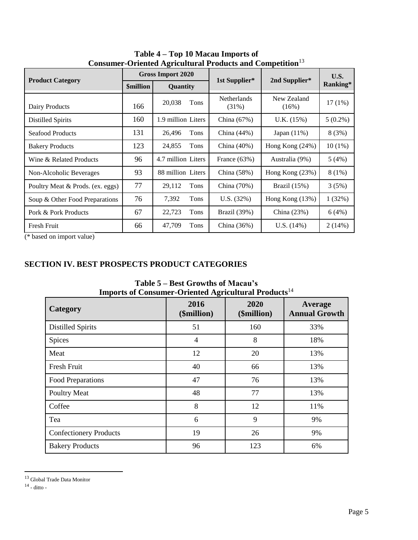|                                  |                  | unive Cerenteu experientul e routeux unu competition<br><b>Gross Import 2020</b> |                      |                      | U.S.       |
|----------------------------------|------------------|----------------------------------------------------------------------------------|----------------------|----------------------|------------|
| <b>Product Category</b>          | <b>\$million</b> | Quantity                                                                         | 1st Supplier*        | 2nd Supplier*        | Ranking*   |
| Dairy Products                   | 166              | 20,038<br>Tons                                                                   | Netherlands<br>(31%) | New Zealand<br>(16%) | $17(1\%)$  |
| <b>Distilled Spirits</b>         | 160              | 1.9 million Liters                                                               | China $(67%)$        | U.K. (15%)           | $5(0.2\%)$ |
| <b>Seafood Products</b>          | 131              | Tons<br>26,496                                                                   | China $(44%)$        | Japan $(11\%)$       | 8(3%)      |
| <b>Bakery Products</b>           | 123              | 24,855<br>Tons                                                                   | China $(40\%)$       | Hong Kong $(24%)$    | $10(1\%)$  |
| Wine & Related Products          | 96               | 4.7 million Liters                                                               | France $(63%)$       | Australia (9%)       | 5(4%)      |
| Non-Alcoholic Beverages          | 93               | 88 million Liters                                                                | China $(58%)$        | Hong Kong $(23%)$    | $8(1\%)$   |
| Poultry Meat & Prods. (ex. eggs) | 77               | Tons<br>29,112                                                                   | China (70%)          | Brazil $(15%)$       | 3(5%)      |
| Soup & Other Food Preparations   | 76               | 7,392<br>Tons                                                                    | U.S. (32%)           | Hong Kong (13%)      | 1(32%)     |
| Pork & Pork Products             | 67               | 22,723<br>Tons                                                                   | Brazil (39%)         | China (23%)          | 6(4%)      |
| Fresh Fruit                      | 66               | 47,709<br>Tons                                                                   | China $(36%)$        | U.S. (14%)           | 2(14%)     |

**Table 4 – Top 10 Macau Imports of Consumer-Oriented Agricultural Products and Competition**<sup>13</sup>

(\* based on import value)

# **SECTION IV. BEST PROSPECTS PRODUCT CATEGORIES**

| Imports of Consumer-Oriented Agricultural Frouncis |                     |                     |                                 |  |  |
|----------------------------------------------------|---------------------|---------------------|---------------------------------|--|--|
| <b>Category</b>                                    | 2016<br>(\$million) | 2020<br>(\$million) | Average<br><b>Annual Growth</b> |  |  |
| <b>Distilled Spirits</b>                           | 51                  | 160                 | 33%                             |  |  |
| Spices                                             | 4                   | 8                   | 18%                             |  |  |
| Meat                                               | 12                  | 20                  | 13%                             |  |  |
| Fresh Fruit                                        | 40                  | 66                  | 13%                             |  |  |
| Food Preparations                                  | 47                  | 76                  | 13%                             |  |  |
| <b>Poultry Meat</b>                                | 48                  | 77                  | 13%                             |  |  |
| Coffee                                             | 8                   | 12                  | 11%                             |  |  |
| Tea                                                | 6                   | 9                   | 9%                              |  |  |
| <b>Confectionery Products</b>                      | 19                  | 26                  | 9%                              |  |  |
| <b>Bakery Products</b>                             | 96                  | 123                 | 6%                              |  |  |

**Table 5 – Best Growths of Macau's Imports of Consumer-Oriented Agricultural Products**<sup>14</sup>

 $\overline{a}$ 

 $13$  Global Trade Data Monitor<br> $14$  - ditto -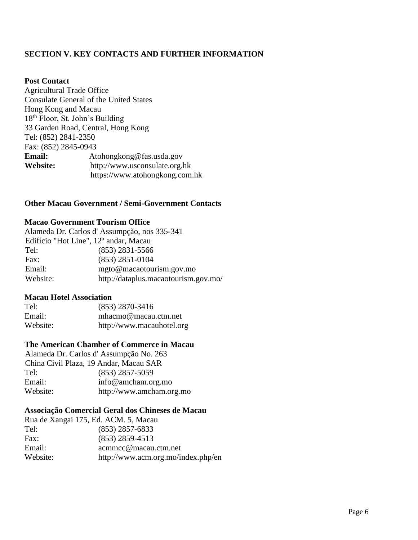# **SECTION V. KEY CONTACTS AND FURTHER INFORMATION**

### **Post Contact**

Agricultural Trade Office Consulate General of the United States Hong Kong and Macau 18th Floor, St. John's Building 33 Garden Road, Central, Hong Kong Tel: (852) 2841-2350 Fax: (852) 2845-0943 **Email:** Atohongkong@fas.usda.gov **Website:** http://www.usconsulate.org.hk https://www.atohongkong.com.hk

# **Other Macau Government / Semi-Government Contacts**

### **Macao Government Tourism Office**

|                                                   | Alameda Dr. Carlos d'Assumpção, nos 335-341 |
|---------------------------------------------------|---------------------------------------------|
| Edifício "Hot Line", 12 <sup>°</sup> andar, Macau |                                             |
| Tel:                                              | $(853)$ 2831-5566                           |
| Fax:                                              | $(853)$ 2851-0104                           |
| Email:                                            | mgto@macaotourism.gov.mo                    |
| Website:                                          | http://dataplus.macaotourism.gov.mo/        |

### **Macau Hotel Association**

| Tel:     | $(853)$ 2870-3416         |
|----------|---------------------------|
| Email:   | mhacmo@macau.ctm.net      |
| Website: | http://www.macauhotel.org |

### **The American Chamber of Commerce in Macau**

|                                        | Alameda Dr. Carlos d'Assumpção No. 263 |
|----------------------------------------|----------------------------------------|
| China Civil Plaza, 19 Andar, Macau SAR |                                        |
| Tel:                                   | $(853)$ 2857-5059                      |
| Email:                                 | info@amcham.org.mo                     |
| Website:                               | http://www.amcham.org.mo               |
|                                        |                                        |

# **Associação Comercial Geral dos Chineses de Macau**

| Rua de Xangai 175, Ed. ACM. 5, Macau |
|--------------------------------------|
| $(853)$ 2857-6833                    |
| $(853)$ 2859-4513                    |
| acmmcc@macau.ctm.net                 |
| http://www.acm.org.mo/index.php/en   |
|                                      |